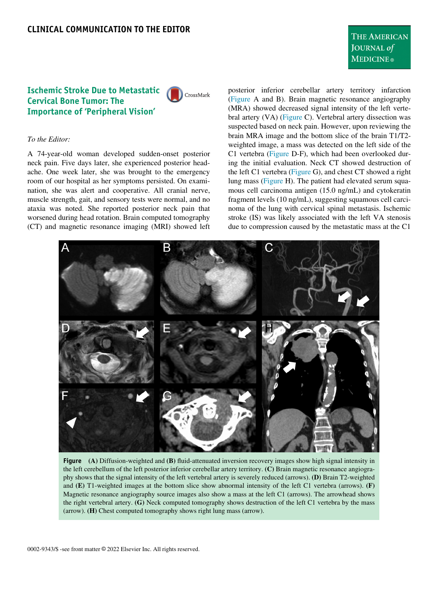## THE AMERICAN JOURNAL of **MEDICINE**®

# Ischemic Stroke Due to Metastatic Importance of 'Peripheral Vision' Importance of 'Peripheral Vision'

CrossMark

#### To the Editor:

A 74-year-old woman developed sudden-onset posterior neck pain. Five days later, she experienced posterior headache. One week later, she was brought to the emergency room of our hospital as her symptoms persisted. On examination, she was alert and cooperative. All cranial nerve, muscle strength, gait, and sensory tests were normal, and no ataxia was noted. She reported posterior neck pain that worsened during head rotation. Brain computed tomography (CT) and magnetic resonance imaging (MRI) showed left



<span id="page-0-0"></span>

Figure (A) Diffusion-weighted and (B) fluid-attenuated inversion recovery images show high signal intensity in the left cerebellum of the left posterior inferior cerebellar artery territory. (C) Brain magnetic resonance angiography shows that the signal intensity of the left vertebral artery is severely reduced (arrows). (D) Brain T2-weighted and (E) T1-weighted images at the bottom slice show abnormal intensity of the left C1 vertebra (arrows). (F) Magnetic resonance angiography source images also show a mass at the left C1 (arrows). The arrowhead shows the right vertebral artery. (G) Neck computed tomography shows destruction of the left C1 vertebra by the mass (arrow). (H) Chest computed tomography shows right lung mass (arrow).